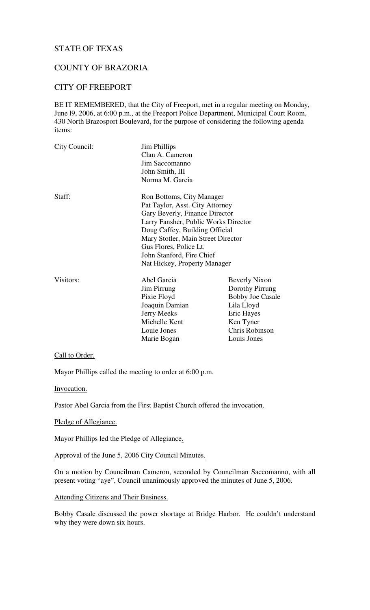# STATE OF TEXAS

# COUNTY OF BRAZORIA

# CITY OF FREEPORT

BE IT REMEMBERED, that the City of Freeport, met in a regular meeting on Monday, June l9, 2006, at 6:00 p.m., at the Freeport Police Department, Municipal Court Room, 430 North Brazosport Boulevard, for the purpose of considering the following agenda items:

| City Council:                        | <b>Jim Phillips</b><br>Clan A. Cameron<br>Jim Saccomanno<br>John Smith, III<br>Norma M. Garcia |                         |        |                                 |  |
|--------------------------------------|------------------------------------------------------------------------------------------------|-------------------------|--------|---------------------------------|--|
|                                      |                                                                                                |                         |        |                                 |  |
|                                      |                                                                                                |                         | Staff: | Ron Bottoms, City Manager       |  |
|                                      |                                                                                                |                         |        | Pat Taylor, Asst. City Attorney |  |
|                                      |                                                                                                |                         |        | Gary Beverly, Finance Director  |  |
| Larry Fansher, Public Works Director |                                                                                                |                         |        |                                 |  |
| Doug Caffey, Building Official       |                                                                                                |                         |        |                                 |  |
| Mary Stotler, Main Street Director   |                                                                                                |                         |        |                                 |  |
| Gus Flores, Police Lt.               |                                                                                                |                         |        |                                 |  |
| John Stanford, Fire Chief            |                                                                                                |                         |        |                                 |  |
| Nat Hickey, Property Manager         |                                                                                                |                         |        |                                 |  |
| Visitors:                            | Abel Garcia                                                                                    | <b>Beverly Nixon</b>    |        |                                 |  |
|                                      | Jim Pirrung                                                                                    | Dorothy Pirrung         |        |                                 |  |
|                                      | Pixie Floyd                                                                                    | <b>Bobby Joe Casale</b> |        |                                 |  |
|                                      | Joaquin Damian                                                                                 | Lila Lloyd              |        |                                 |  |
|                                      | Jerry Meeks                                                                                    | Eric Hayes              |        |                                 |  |
|                                      | Michelle Kent                                                                                  | Ken Tyner               |        |                                 |  |
|                                      | Louie Jones                                                                                    | Chris Robinson          |        |                                 |  |
|                                      | Marie Bogan                                                                                    | Louis Jones             |        |                                 |  |

#### Call to Order.

Mayor Phillips called the meeting to order at 6:00 p.m.

Invocation.

Pastor Abel Garcia from the First Baptist Church offered the invocation.

Pledge of Allegiance.

Mayor Phillips led the Pledge of Allegiance.

Approval of the June 5, 2006 City Council Minutes.

On a motion by Councilman Cameron, seconded by Councilman Saccomanno, with all present voting "aye", Council unanimously approved the minutes of June 5, 2006.

Attending Citizens and Their Business.

Bobby Casale discussed the power shortage at Bridge Harbor. He couldn't understand why they were down six hours.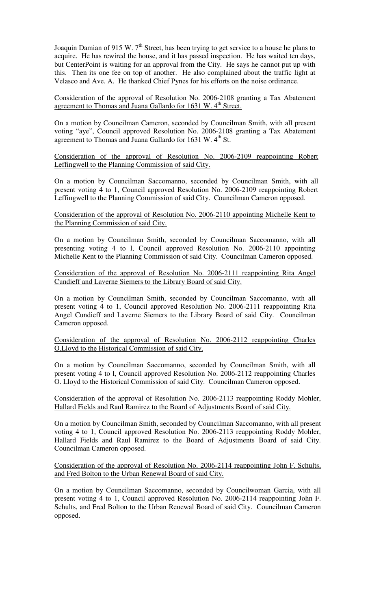Joaquin Damian of 915 W. 7<sup>th</sup> Street, has been trying to get service to a house he plans to acquire. He has rewired the house, and it has passed inspection. He has waited ten days, but CenterPoint is waiting for an approval from the City. He says he cannot put up with this. Then its one fee on top of another. He also complained about the traffic light at Velasco and Ave. A. He thanked Chief Pynes for his efforts on the noise ordinance.

Consideration of the approval of Resolution No. 2006-2108 granting a Tax Abatement agreement to Thomas and Juana Gallardo for 1631 W. 4<sup>th</sup> Street.

On a motion by Councilman Cameron, seconded by Councilman Smith, with all present voting "aye", Council approved Resolution No. 2006-2108 granting a Tax Abatement agreement to Thomas and Juana Gallardo for 1631 W. 4<sup>th</sup> St.

Consideration of the approval of Resolution No. 2006-2109 reappointing Robert Leffingwell to the Planning Commission of said City.

On a motion by Councilman Saccomanno, seconded by Councilman Smith, with all present voting 4 to 1, Council approved Resolution No. 2006-2109 reappointing Robert Leffingwell to the Planning Commission of said City. Councilman Cameron opposed.

Consideration of the approval of Resolution No. 2006-2110 appointing Michelle Kent to the Planning Commission of said City.

On a motion by Councilman Smith, seconded by Councilman Saccomanno, with all presenting voting 4 to l, Council approved Resolution No. 2006-2110 appointing Michelle Kent to the Planning Commission of said City. Councilman Cameron opposed.

Consideration of the approval of Resolution No. 2006-2111 reappointing Rita Angel Cundieff and Laverne Siemers to the Library Board of said City.

On a motion by Councilman Smith, seconded by Councilman Saccomanno, with all present voting 4 to 1, Council approved Resolution No. 2006-2111 reappointing Rita Angel Cundieff and Laverne Siemers to the Library Board of said City. Councilman Cameron opposed.

Consideration of the approval of Resolution No. 2006-2112 reappointing Charles O.Lloyd to the Historical Commission of said City.

On a motion by Councilman Saccomanno, seconded by Councilman Smith, with all present voting 4 to l, Council approved Resolution No. 2006-2112 reappointing Charles O. Lloyd to the Historical Commission of said City. Councilman Cameron opposed.

Consideration of the approval of Resolution No. 2006-2113 reappointing Roddy Mohler, Hallard Fields and Raul Ramirez to the Board of Adjustments Board of said City.

On a motion by Councilman Smith, seconded by Councilman Saccomanno, with all present voting 4 to 1, Council approved Resolution No. 2006-2113 reappointing Roddy Mohler, Hallard Fields and Raul Ramirez to the Board of Adjustments Board of said City. Councilman Cameron opposed.

Consideration of the approval of Resolution No. 2006-2114 reappointing John F. Schults, and Fred Bolton to the Urban Renewal Board of said City.

On a motion by Councilman Saccomanno, seconded by Councilwoman Garcia, with all present voting 4 to 1, Council approved Resolution No. 2006-2114 reappointing John F. Schults, and Fred Bolton to the Urban Renewal Board of said City. Councilman Cameron opposed.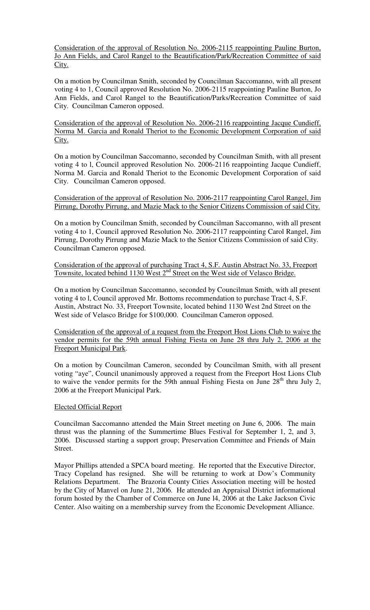Consideration of the approval of Resolution No. 2006-2115 reappointing Pauline Burton, Jo Ann Fields, and Carol Rangel to the Beautification/Park/Recreation Committee of said City.

On a motion by Councilman Smith, seconded by Councilman Saccomanno, with all present voting 4 to 1, Council approved Resolution No. 2006-2115 reappointing Pauline Burton, Jo Ann Fields, and Carol Rangel to the Beautification/Parks/Recreation Committee of said City. Councilman Cameron opposed.

Consideration of the approval of Resolution No. 2006-2116 reappointing Jacque Cundieff, Norma M. Garcia and Ronald Theriot to the Economic Development Corporation of said City.

On a motion by Councilman Saccomanno, seconded by Councilman Smith, with all present voting 4 to l, Council approved Resolution No. 2006-2116 reappointing Jacque Cundieff, Norma M. Garcia and Ronald Theriot to the Economic Development Corporation of said City. Councilman Cameron opposed.

Consideration of the approval of Resolution No. 2006-2117 reappointing Carol Rangel, Jim Pirrung, Dorothy Pirrung, and Mazie Mack to the Senior Citizens Commission of said City.

On a motion by Councilman Smith, seconded by Councilman Saccomanno, with all present voting 4 to 1, Council approved Resolution No. 2006-2117 reappointing Carol Rangel, Jim Pirrung, Dorothy Pirrung and Mazie Mack to the Senior Citizens Commission of said City. Councilman Cameron opposed.

Consideration of the approval of purchasing Tract 4, S.F. Austin Abstract No. 33, Freeport Townsite, located behind 1130 West 2<sup>nd</sup> Street on the West side of Velasco Bridge.

On a motion by Councilman Saccomanno, seconded by Councilman Smith, with all present voting 4 to l, Council approved Mr. Bottoms recommendation to purchase Tract 4, S.F. Austin, Abstract No. 33, Freeport Townsite, located behind 1130 West 2nd Street on the West side of Velasco Bridge for \$100,000. Councilman Cameron opposed.

Consideration of the approval of a request from the Freeport Host Lions Club to waive the vendor permits for the 59th annual Fishing Fiesta on June 28 thru July 2, 2006 at the Freeport Municipal Park.

On a motion by Councilman Cameron, seconded by Councilman Smith, with all present voting "aye", Council unanimously approved a request from the Freeport Host Lions Club to waive the vendor permits for the 59th annual Fishing Fiesta on June  $28<sup>th</sup>$  thru July 2, 2006 at the Freeport Municipal Park.

#### Elected Official Report

Councilman Saccomanno attended the Main Street meeting on June 6, 2006. The main thrust was the planning of the Summertime Blues Festival for September 1, 2, and 3, 2006. Discussed starting a support group; Preservation Committee and Friends of Main Street.

Mayor Phillips attended a SPCA board meeting. He reported that the Executive Director, Tracy Copeland has resigned. She will be returning to work at Dow's Community Relations Department. The Brazoria County Cities Association meeting will be hosted by the City of Manvel on June 21, 2006. He attended an Appraisal District informational forum hosted by the Chamber of Commerce on June l4, 2006 at the Lake Jackson Civic Center. Also waiting on a membership survey from the Economic Development Alliance.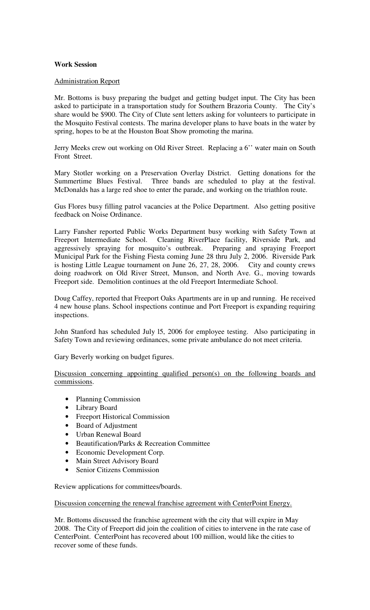## **Work Session**

### Administration Report

Mr. Bottoms is busy preparing the budget and getting budget input. The City has been asked to participate in a transportation study for Southern Brazoria County. The City's share would be \$900. The City of Clute sent letters asking for volunteers to participate in the Mosquito Festival contests. The marina developer plans to have boats in the water by spring, hopes to be at the Houston Boat Show promoting the marina.

Jerry Meeks crew out working on Old River Street. Replacing a 6'' water main on South Front Street.

Mary Stotler working on a Preservation Overlay District. Getting donations for the Summertime Blues Festival. Three bands are scheduled to play at the festival. Three bands are scheduled to play at the festival. McDonalds has a large red shoe to enter the parade, and working on the triathlon route.

Gus Flores busy filling patrol vacancies at the Police Department. Also getting positive feedback on Noise Ordinance.

Larry Fansher reported Public Works Department busy working with Safety Town at Freeport Intermediate School. Cleaning RiverPlace facility, Riverside Park, and aggressively spraying for mosquito's outbreak. Preparing and spraying Freeport Municipal Park for the Fishing Fiesta coming June 28 thru July 2, 2006. Riverside Park is hosting Little League tournament on June 26, 27, 28, 2006. City and county crews doing roadwork on Old River Street, Munson, and North Ave. G., moving towards Freeport side. Demolition continues at the old Freeport Intermediate School.

Doug Caffey, reported that Freeport Oaks Apartments are in up and running. He received 4 new house plans. School inspections continue and Port Freeport is expanding requiring inspections.

John Stanford has scheduled July l5, 2006 for employee testing. Also participating in Safety Town and reviewing ordinances, some private ambulance do not meet criteria.

Gary Beverly working on budget figures.

Discussion concerning appointing qualified person(s) on the following boards and commissions.

- Planning Commission
- Library Board
- Freeport Historical Commission
- Board of Adjustment
- Urban Renewal Board
- Beautification/Parks & Recreation Committee
- Economic Development Corp.
- Main Street Advisory Board
- Senior Citizens Commission

Review applications for committees/boards.

Discussion concerning the renewal franchise agreement with CenterPoint Energy.

Mr. Bottoms discussed the franchise agreement with the city that will expire in May 2008. The City of Freeport did join the coalition of cities to intervene in the rate case of CenterPoint. CenterPoint has recovered about 100 million, would like the cities to recover some of these funds.